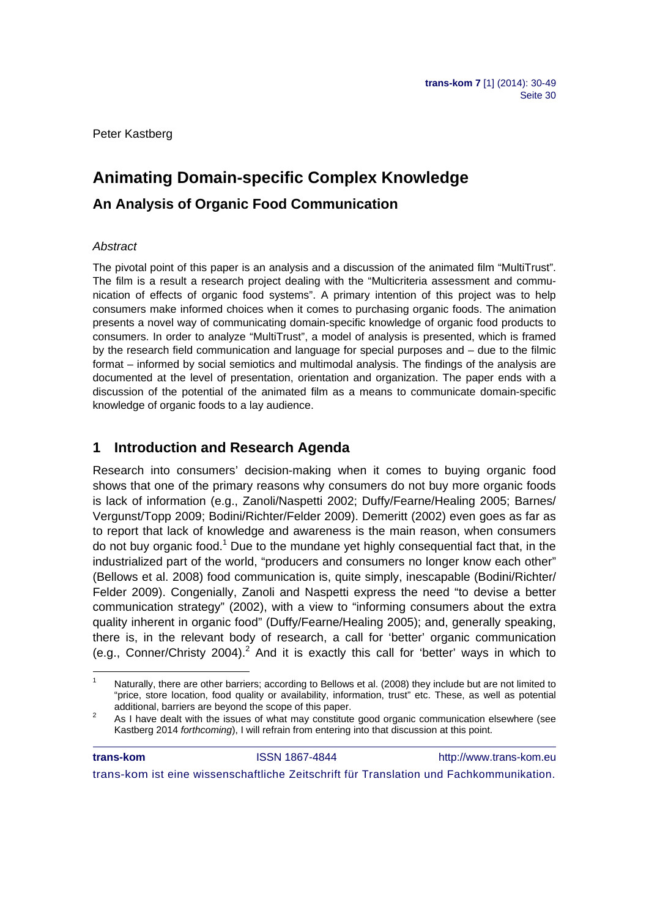Peter Kastberg

# **Animating Domain-specific Complex Knowledge An Analysis of Organic Food Communication**

## *Abstract*

1

The pivotal point of this paper is an analysis and a discussion of the animated film "MultiTrust". The film is a result a research project dealing with the "Multicriteria assessment and communication of effects of organic food systems". A primary intention of this project was to help consumers make informed choices when it comes to purchasing organic foods. The animation presents a novel way of communicating domain-specific knowledge of organic food products to consumers. In order to analyze "MultiTrust", a model of analysis is presented, which is framed by the research field communication and language for special purposes and – due to the filmic format – informed by social semiotics and multimodal analysis. The findings of the analysis are documented at the level of presentation, orientation and organization. The paper ends with a discussion of the potential of the animated film as a means to communicate domain-specific knowledge of organic foods to a lay audience.

## **1 Introduction and Research Agenda**

Research into consumers' decision-making when it comes to buying organic food shows that one of the primary reasons why consumers do not buy more organic foods is lack of information (e.g., Zanoli/Naspetti 2002; Duffy/Fearne/Healing 2005; Barnes/ Vergunst/Topp 2009; Bodini/Richter/Felder 2009). Demeritt (2002) even goes as far as to report that lack of knowledge and awareness is the main reason, when consumers do not buy organic food.<sup>1</sup> Due to the mundane yet highly consequential fact that, in the industrialized part of the world, "producers and consumers no longer know each other" (Bellows et al. 2008) food communication is, quite simply, inescapable (Bodini/Richter/ Felder 2009). Congenially, Zanoli and Naspetti express the need "to devise a better communication strategy" (2002), with a view to "informing consumers about the extra quality inherent in organic food" (Duffy/Fearne/Healing 2005); and, generally speaking, there is, in the relevant body of research, a call for 'better' organic communication (e.g., Conner/Christy  $2004$ ).<sup>2</sup> And it is exactly this call for 'better' ways in which to

**trans-kom ISSN 1867-4844** http://www.trans-kom.eu trans-kom ist eine wissenschaftliche Zeitschrift für Translation und Fachkommunikation.

<sup>1</sup> Naturally, there are other barriers; according to Bellows et al. (2008) they include but are not limited to "price, store location, food quality or availability, information, trust" etc. These, as well as potential additional, barriers are beyond the scope of this paper. 2

As I have dealt with the issues of what may constitute good organic communication elsewhere (see Kastberg 2014 *forthcoming*), I will refrain from entering into that discussion at this point.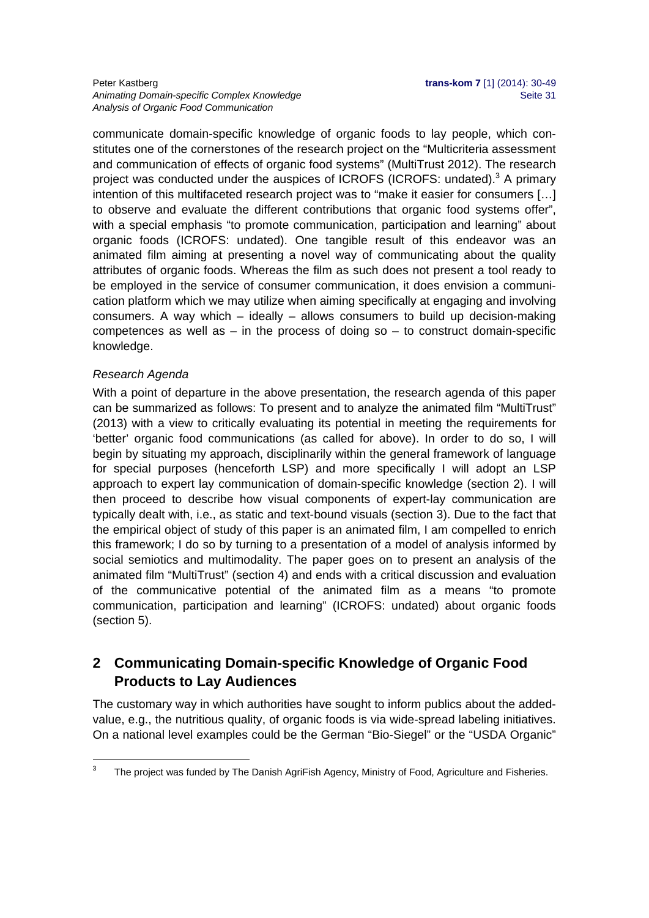#### Peter Kastberg **trans-kom 7** [1] (2014): 30-49 Animating Domain-specific Complex Knowledge **Seite 31** Seite 31 *Analysis of Organic Food Communication*

communicate domain-specific knowledge of organic foods to lay people, which constitutes one of the cornerstones of the research project on the "Multicriteria assessment and communication of effects of organic food systems" (MultiTrust 2012). The research project was conducted under the auspices of ICROFS (ICROFS: undated).<sup>3</sup> A primary intention of this multifaceted research project was to "make it easier for consumers […] to observe and evaluate the different contributions that organic food systems offer", with a special emphasis "to promote communication, participation and learning" about organic foods (ICROFS: undated). One tangible result of this endeavor was an animated film aiming at presenting a novel way of communicating about the quality attributes of organic foods. Whereas the film as such does not present a tool ready to be employed in the service of consumer communication, it does envision a communication platform which we may utilize when aiming specifically at engaging and involving consumers. A way which – ideally – allows consumers to build up decision-making competences as well as  $-$  in the process of doing so  $-$  to construct domain-specific knowledge.

## *Research Agenda*

With a point of departure in the above presentation, the research agenda of this paper can be summarized as follows: To present and to analyze the animated film "MultiTrust" (2013) with a view to critically evaluating its potential in meeting the requirements for 'better' organic food communications (as called for above). In order to do so, I will begin by situating my approach, disciplinarily within the general framework of language for special purposes (henceforth LSP) and more specifically I will adopt an LSP approach to expert lay communication of domain-specific knowledge (section 2). I will then proceed to describe how visual components of expert-lay communication are typically dealt with, i.e., as static and text-bound visuals (section 3). Due to the fact that the empirical object of study of this paper is an animated film, I am compelled to enrich this framework; I do so by turning to a presentation of a model of analysis informed by social semiotics and multimodality. The paper goes on to present an analysis of the animated film "MultiTrust" (section 4) and ends with a critical discussion and evaluation of the communicative potential of the animated film as a means "to promote communication, participation and learning" (ICROFS: undated) about organic foods (section 5).

## **2 Communicating Domain-specific Knowledge of Organic Food Products to Lay Audiences**

The customary way in which authorities have sought to inform publics about the addedvalue, e.g., the nutritious quality, of organic foods is via wide-spread labeling initiatives. On a national level examples could be the German "Bio-Siegel" or the "USDA Organic"

<sup>-&</sup>lt;br>3 The project was funded by The Danish AgriFish Agency, Ministry of Food, Agriculture and Fisheries.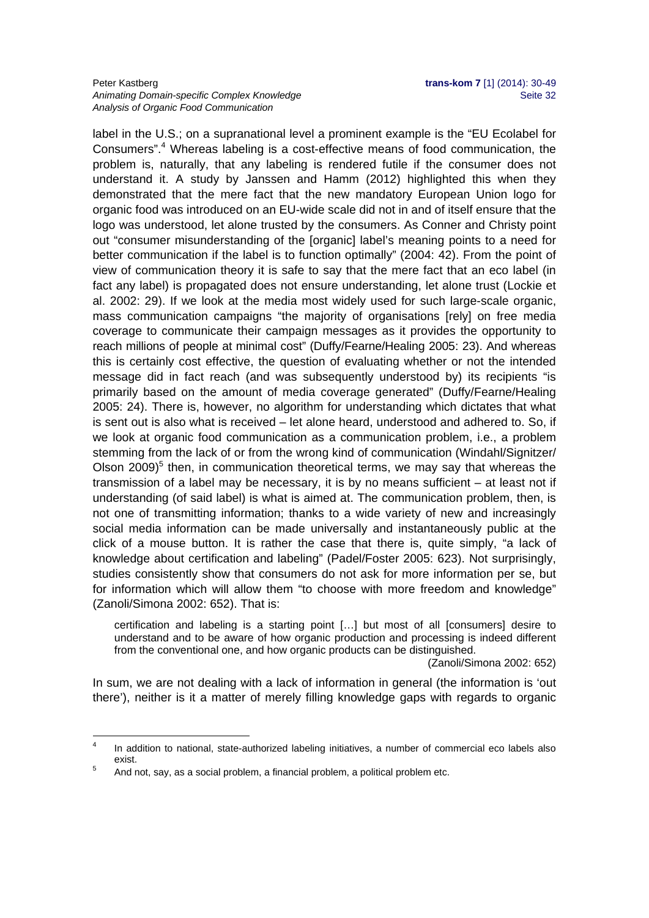#### Peter Kastberg **trans-kom 7** [1] (2014): 30-49 Animating Domain-specific Complex Knowledge **Seite 32** Seite 32 *Analysis of Organic Food Communication*

label in the U.S.; on a supranational level a prominent example is the "EU Ecolabel for Consumers".<sup>4</sup> Whereas labeling is a cost-effective means of food communication, the problem is, naturally, that any labeling is rendered futile if the consumer does not understand it. A study by Janssen and Hamm (2012) highlighted this when they demonstrated that the mere fact that the new mandatory European Union logo for organic food was introduced on an EU-wide scale did not in and of itself ensure that the logo was understood, let alone trusted by the consumers. As Conner and Christy point out "consumer misunderstanding of the [organic] label's meaning points to a need for better communication if the label is to function optimally" (2004: 42). From the point of view of communication theory it is safe to say that the mere fact that an eco label (in fact any label) is propagated does not ensure understanding, let alone trust (Lockie et al. 2002: 29). If we look at the media most widely used for such large-scale organic, mass communication campaigns "the majority of organisations [rely] on free media coverage to communicate their campaign messages as it provides the opportunity to reach millions of people at minimal cost" (Duffy/Fearne/Healing 2005: 23). And whereas this is certainly cost effective, the question of evaluating whether or not the intended message did in fact reach (and was subsequently understood by) its recipients "is primarily based on the amount of media coverage generated" (Duffy/Fearne/Healing 2005: 24). There is, however, no algorithm for understanding which dictates that what is sent out is also what is received – let alone heard, understood and adhered to. So, if we look at organic food communication as a communication problem, i.e., a problem stemming from the lack of or from the wrong kind of communication (Windahl/Signitzer/ Olson  $2009$ <sup>5</sup> then, in communication theoretical terms, we may say that whereas the transmission of a label may be necessary, it is by no means sufficient – at least not if understanding (of said label) is what is aimed at. The communication problem, then, is not one of transmitting information; thanks to a wide variety of new and increasingly social media information can be made universally and instantaneously public at the click of a mouse button. It is rather the case that there is, quite simply, "a lack of knowledge about certification and labeling" (Padel/Foster 2005: 623). Not surprisingly, studies consistently show that consumers do not ask for more information per se, but for information which will allow them "to choose with more freedom and knowledge" (Zanoli/Simona 2002: 652). That is:

certification and labeling is a starting point […] but most of all [consumers] desire to understand and to be aware of how organic production and processing is indeed different from the conventional one, and how organic products can be distinguished.

(Zanoli/Simona 2002: 652)

In sum, we are not dealing with a lack of information in general (the information is 'out there'), neither is it a matter of merely filling knowledge gaps with regards to organic

1

<sup>4</sup> In addition to national, state-authorized labeling initiatives, a number of commercial eco labels also exist.

And not, say, as a social problem, a financial problem, a political problem etc.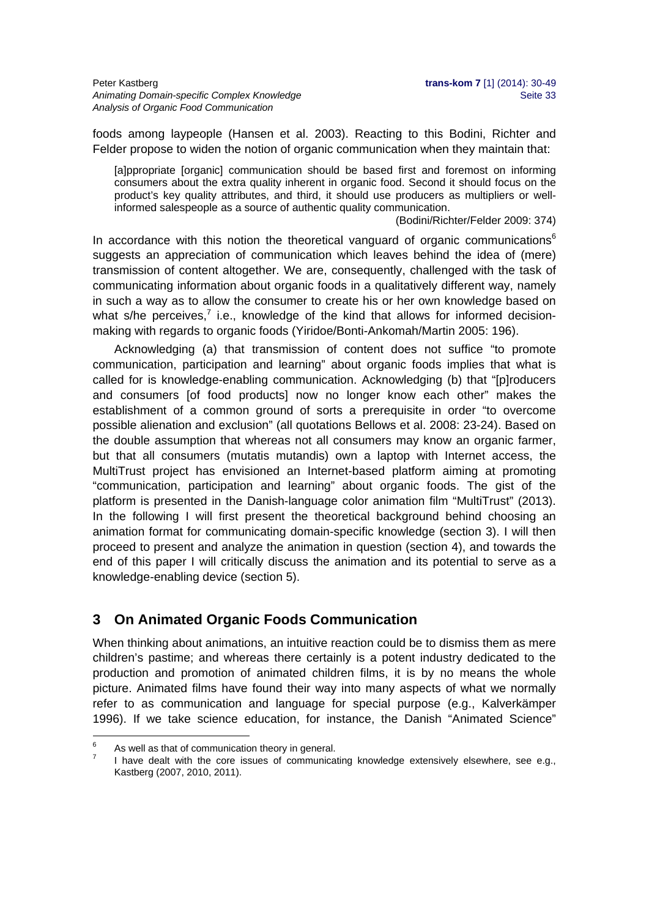foods among laypeople (Hansen et al. 2003). Reacting to this Bodini, Richter and Felder propose to widen the notion of organic communication when they maintain that:

[a]ppropriate [organic] communication should be based first and foremost on informing consumers about the extra quality inherent in organic food. Second it should focus on the product's key quality attributes, and third, it should use producers as multipliers or wellinformed salespeople as a source of authentic quality communication.

(Bodini/Richter/Felder 2009: 374)

In accordance with this notion the theoretical vanguard of organic communications $6$ suggests an appreciation of communication which leaves behind the idea of (mere) transmission of content altogether. We are, consequently, challenged with the task of communicating information about organic foods in a qualitatively different way, namely in such a way as to allow the consumer to create his or her own knowledge based on what s/he perceives, $^7$  i.e., knowledge of the kind that allows for informed decisionmaking with regards to organic foods (Yiridoe/Bonti-Ankomah/Martin 2005: 196).

Acknowledging (a) that transmission of content does not suffice "to promote communication, participation and learning" about organic foods implies that what is called for is knowledge-enabling communication. Acknowledging (b) that "[p]roducers and consumers [of food products] now no longer know each other" makes the establishment of a common ground of sorts a prerequisite in order "to overcome possible alienation and exclusion" (all quotations Bellows et al. 2008: 23-24). Based on the double assumption that whereas not all consumers may know an organic farmer, but that all consumers (mutatis mutandis) own a laptop with Internet access, the MultiTrust project has envisioned an Internet-based platform aiming at promoting "communication, participation and learning" about organic foods. The gist of the platform is presented in the Danish-language color animation film "MultiTrust" (2013). In the following I will first present the theoretical background behind choosing an animation format for communicating domain-specific knowledge (section 3). I will then proceed to present and analyze the animation in question (section 4), and towards the end of this paper I will critically discuss the animation and its potential to serve as a knowledge-enabling device (section 5).

## **3 On Animated Organic Foods Communication**

When thinking about animations, an intuitive reaction could be to dismiss them as mere children's pastime; and whereas there certainly is a potent industry dedicated to the production and promotion of animated children films, it is by no means the whole picture. Animated films have found their way into many aspects of what we normally refer to as communication and language for special purpose (e.g., Kalverkämper 1996). If we take science education, for instance, the Danish "Animated Science"

1

<sup>6</sup> As well as that of communication theory in general. 7

I have dealt with the core issues of communicating knowledge extensively elsewhere, see e.g., Kastberg (2007, 2010, 2011).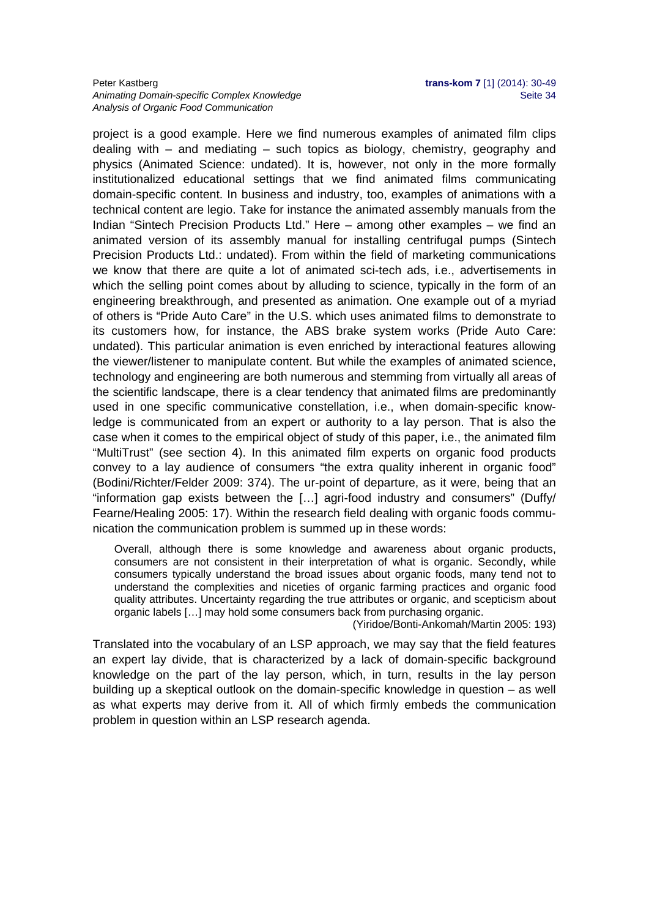#### Peter Kastberg **trans-kom 7** [1] (2014): 30-49 Animating Domain-specific Complex Knowledge **Seite 34** Seite 34 *Analysis of Organic Food Communication*

project is a good example. Here we find numerous examples of animated film clips dealing with – and mediating – such topics as biology, chemistry, geography and physics (Animated Science: undated). It is, however, not only in the more formally institutionalized educational settings that we find animated films communicating domain-specific content. In business and industry, too, examples of animations with a technical content are legio. Take for instance the animated assembly manuals from the Indian "Sintech Precision Products Ltd." Here – among other examples – we find an animated version of its assembly manual for installing centrifugal pumps (Sintech Precision Products Ltd.: undated). From within the field of marketing communications we know that there are quite a lot of animated sci-tech ads, i.e., advertisements in which the selling point comes about by alluding to science, typically in the form of an engineering breakthrough, and presented as animation. One example out of a myriad of others is "Pride Auto Care" in the U.S. which uses animated films to demonstrate to its customers how, for instance, the ABS brake system works (Pride Auto Care: undated). This particular animation is even enriched by interactional features allowing the viewer/listener to manipulate content. But while the examples of animated science, technology and engineering are both numerous and stemming from virtually all areas of the scientific landscape, there is a clear tendency that animated films are predominantly used in one specific communicative constellation, i.e., when domain-specific knowledge is communicated from an expert or authority to a lay person. That is also the case when it comes to the empirical object of study of this paper, i.e., the animated film "MultiTrust" (see section 4). In this animated film experts on organic food products convey to a lay audience of consumers "the extra quality inherent in organic food" (Bodini/Richter/Felder 2009: 374). The ur-point of departure, as it were, being that an "information gap exists between the […] agri-food industry and consumers" (Duffy/ Fearne/Healing 2005: 17). Within the research field dealing with organic foods communication the communication problem is summed up in these words:

Overall, although there is some knowledge and awareness about organic products, consumers are not consistent in their interpretation of what is organic. Secondly, while consumers typically understand the broad issues about organic foods, many tend not to understand the complexities and niceties of organic farming practices and organic food quality attributes. Uncertainty regarding the true attributes or organic, and scepticism about organic labels […] may hold some consumers back from purchasing organic.

(Yiridoe/Bonti-Ankomah/Martin 2005: 193)

Translated into the vocabulary of an LSP approach, we may say that the field features an expert lay divide, that is characterized by a lack of domain-specific background knowledge on the part of the lay person, which, in turn, results in the lay person building up a skeptical outlook on the domain-specific knowledge in question – as well as what experts may derive from it. All of which firmly embeds the communication problem in question within an LSP research agenda.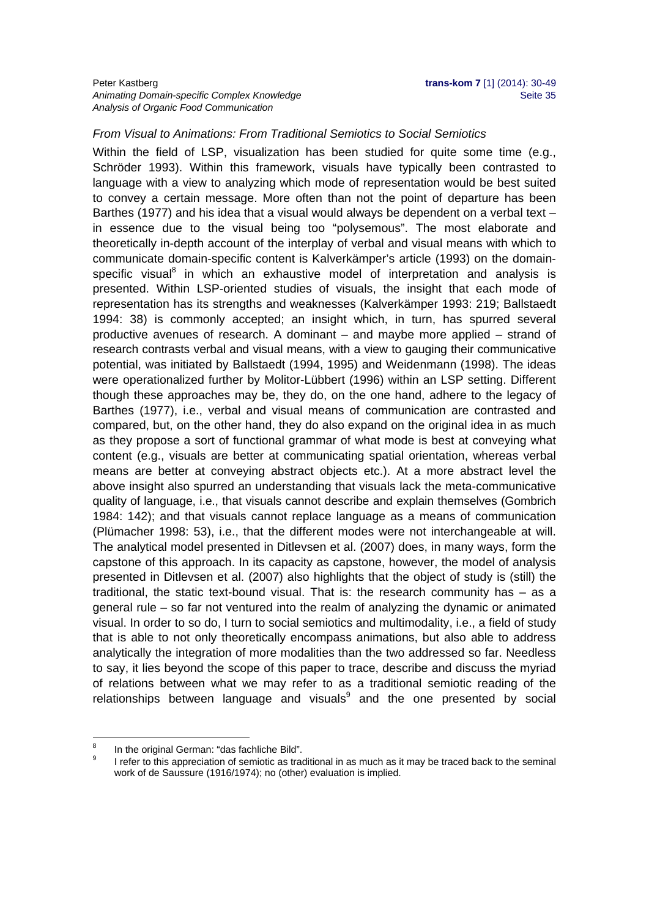## *From Visual to Animations: From Traditional Semiotics to Social Semiotics*

Within the field of LSP, visualization has been studied for quite some time (e.g., Schröder 1993). Within this framework, visuals have typically been contrasted to language with a view to analyzing which mode of representation would be best suited to convey a certain message. More often than not the point of departure has been Barthes (1977) and his idea that a visual would always be dependent on a verbal text in essence due to the visual being too "polysemous". The most elaborate and theoretically in-depth account of the interplay of verbal and visual means with which to communicate domain-specific content is Kalverkämper's article (1993) on the domainspecific visual<sup>8</sup> in which an exhaustive model of interpretation and analysis is presented. Within LSP-oriented studies of visuals, the insight that each mode of representation has its strengths and weaknesses (Kalverkämper 1993: 219; Ballstaedt 1994: 38) is commonly accepted; an insight which, in turn, has spurred several productive avenues of research. A dominant – and maybe more applied – strand of research contrasts verbal and visual means, with a view to gauging their communicative potential, was initiated by Ballstaedt (1994, 1995) and Weidenmann (1998). The ideas were operationalized further by Molitor-Lübbert (1996) within an LSP setting. Different though these approaches may be, they do, on the one hand, adhere to the legacy of Barthes (1977), i.e., verbal and visual means of communication are contrasted and compared, but, on the other hand, they do also expand on the original idea in as much as they propose a sort of functional grammar of what mode is best at conveying what content (e.g., visuals are better at communicating spatial orientation, whereas verbal means are better at conveying abstract objects etc.). At a more abstract level the above insight also spurred an understanding that visuals lack the meta-communicative quality of language, i.e., that visuals cannot describe and explain themselves (Gombrich 1984: 142); and that visuals cannot replace language as a means of communication (Plümacher 1998: 53), i.e., that the different modes were not interchangeable at will. The analytical model presented in Ditlevsen et al. (2007) does, in many ways, form the capstone of this approach. In its capacity as capstone, however, the model of analysis presented in Ditlevsen et al. (2007) also highlights that the object of study is (still) the traditional, the static text-bound visual. That is: the research community has – as a general rule – so far not ventured into the realm of analyzing the dynamic or animated visual. In order to so do, I turn to social semiotics and multimodality, i.e., a field of study that is able to not only theoretically encompass animations, but also able to address analytically the integration of more modalities than the two addressed so far. Needless to say, it lies beyond the scope of this paper to trace, describe and discuss the myriad of relations between what we may refer to as a traditional semiotic reading of the relationships between language and visuals $9$  and the one presented by social

<sup>-&</sup>lt;br>8 In the original German: "das fachliche Bild". 9

I refer to this appreciation of semiotic as traditional in as much as it may be traced back to the seminal work of de Saussure (1916/1974); no (other) evaluation is implied.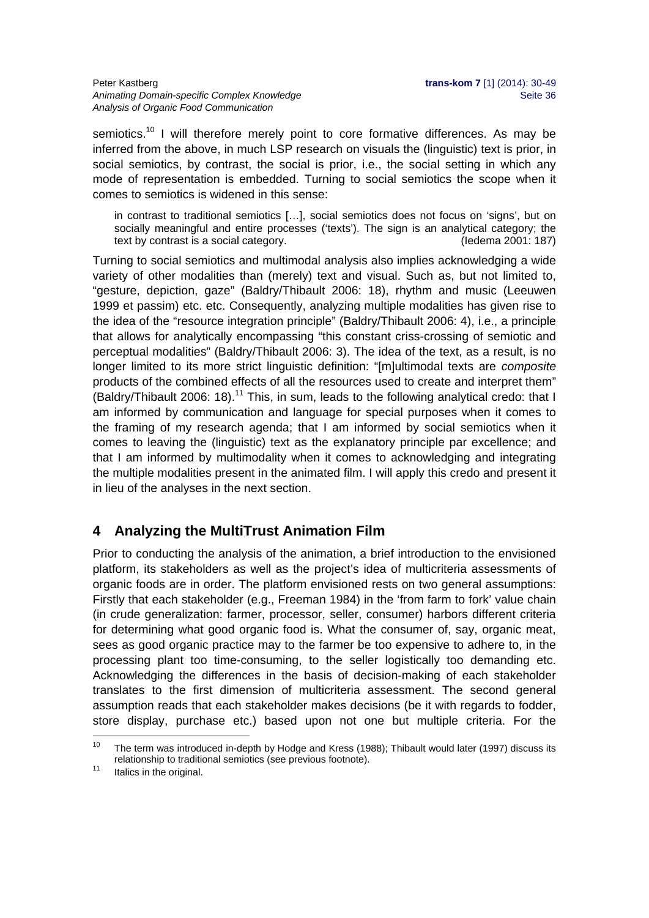semiotics.<sup>10</sup> I will therefore merely point to core formative differences. As may be inferred from the above, in much LSP research on visuals the (linguistic) text is prior, in social semiotics, by contrast, the social is prior, i.e., the social setting in which any mode of representation is embedded. Turning to social semiotics the scope when it comes to semiotics is widened in this sense:

in contrast to traditional semiotics […], social semiotics does not focus on 'signs', but on socially meaningful and entire processes ('texts'). The sign is an analytical category; the text by contrast is a social category. (Iedema 2001: 187)

Turning to social semiotics and multimodal analysis also implies acknowledging a wide variety of other modalities than (merely) text and visual. Such as, but not limited to, "gesture, depiction, gaze" (Baldry/Thibault 2006: 18), rhythm and music (Leeuwen 1999 et passim) etc. etc. Consequently, analyzing multiple modalities has given rise to the idea of the "resource integration principle" (Baldry/Thibault 2006: 4), i.e., a principle that allows for analytically encompassing "this constant criss-crossing of semiotic and perceptual modalities" (Baldry/Thibault 2006: 3). The idea of the text, as a result, is no longer limited to its more strict linguistic definition: "[m]ultimodal texts are *composite* products of the combined effects of all the resources used to create and interpret them" (Baldry/Thibault 2006: 18).<sup>11</sup> This, in sum, leads to the following analytical credo: that I am informed by communication and language for special purposes when it comes to the framing of my research agenda; that I am informed by social semiotics when it comes to leaving the (linguistic) text as the explanatory principle par excellence; and that I am informed by multimodality when it comes to acknowledging and integrating the multiple modalities present in the animated film. I will apply this credo and present it in lieu of the analyses in the next section.

# **4 Analyzing the MultiTrust Animation Film**

Prior to conducting the analysis of the animation, a brief introduction to the envisioned platform, its stakeholders as well as the project's idea of multicriteria assessments of organic foods are in order. The platform envisioned rests on two general assumptions: Firstly that each stakeholder (e.g., Freeman 1984) in the 'from farm to fork' value chain (in crude generalization: farmer, processor, seller, consumer) harbors different criteria for determining what good organic food is. What the consumer of, say, organic meat, sees as good organic practice may to the farmer be too expensive to adhere to, in the processing plant too time-consuming, to the seller logistically too demanding etc. Acknowledging the differences in the basis of decision-making of each stakeholder translates to the first dimension of multicriteria assessment. The second general assumption reads that each stakeholder makes decisions (be it with regards to fodder, store display, purchase etc.) based upon not one but multiple criteria. For the

 $10$ The term was introduced in-depth by Hodge and Kress (1988); Thibault would later (1997) discuss its relationship to traditional semiotics (see previous footnote).<br><sup>11</sup> Italics in the original.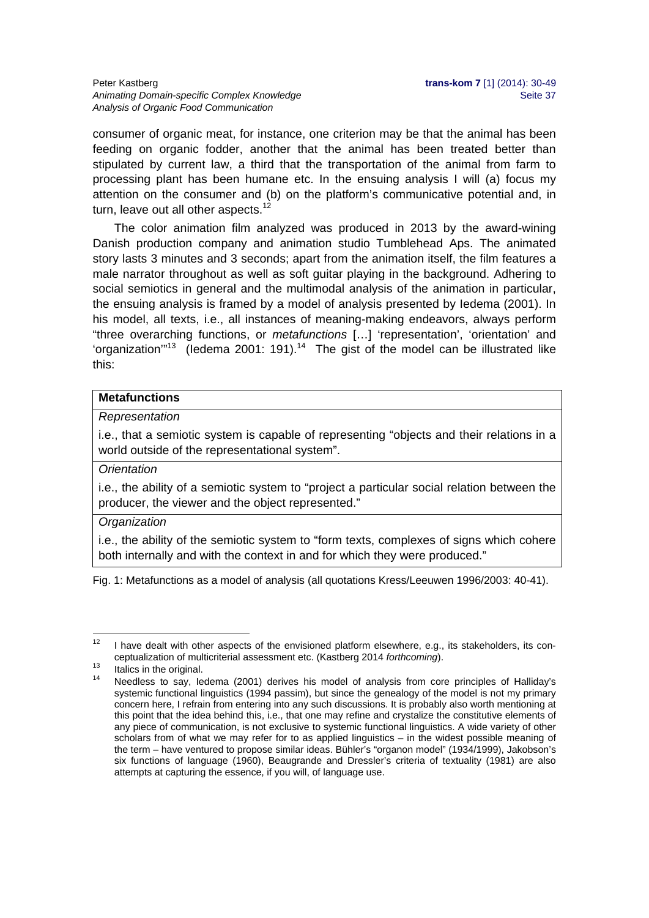consumer of organic meat, for instance, one criterion may be that the animal has been feeding on organic fodder, another that the animal has been treated better than stipulated by current law, a third that the transportation of the animal from farm to processing plant has been humane etc. In the ensuing analysis I will (a) focus my attention on the consumer and (b) on the platform's communicative potential and, in turn, leave out all other aspects.<sup>12</sup>

The color animation film analyzed was produced in 2013 by the award-wining Danish production company and animation studio Tumblehead Aps. The animated story lasts 3 minutes and 3 seconds; apart from the animation itself, the film features a male narrator throughout as well as soft guitar playing in the background. Adhering to social semiotics in general and the multimodal analysis of the animation in particular, the ensuing analysis is framed by a model of analysis presented by Iedema (2001). In his model, all texts, i.e., all instances of meaning-making endeavors, always perform "three overarching functions, or *metafunctions* […] 'representation', 'orientation' and 'organization"<sup>13</sup> (ledema 2001: 191).<sup>14</sup> The gist of the model can be illustrated like this:

## **Metafunctions**

#### *Representation*

i.e., that a semiotic system is capable of representing "objects and their relations in a world outside of the representational system".

## *Orientation*

i.e., the ability of a semiotic system to "project a particular social relation between the producer, the viewer and the object represented."

#### *Organization*

i.e., the ability of the semiotic system to "form texts, complexes of signs which cohere both internally and with the context in and for which they were produced."

Fig. 1: Metafunctions as a model of analysis (all quotations Kress/Leeuwen 1996/2003: 40-41).

<sup>1</sup>  $12$  I have dealt with other aspects of the envisioned platform elsewhere, e.g., its stakeholders, its conceptualization of multicriterial assessment etc. (Kastberg 2014 *forthcoming*).<br><sup>13</sup> Italics in the original.

Needless to say, Iedema (2001) derives his model of analysis from core principles of Halliday's systemic functional linguistics (1994 passim), but since the genealogy of the model is not my primary concern here, I refrain from entering into any such discussions. It is probably also worth mentioning at this point that the idea behind this, i.e., that one may refine and crystalize the constitutive elements of any piece of communication, is not exclusive to systemic functional linguistics. A wide variety of other scholars from of what we may refer for to as applied linguistics – in the widest possible meaning of the term – have ventured to propose similar ideas. Bühler's "organon model" (1934/1999), Jakobson's six functions of language (1960), Beaugrande and Dressler's criteria of textuality (1981) are also attempts at capturing the essence, if you will, of language use.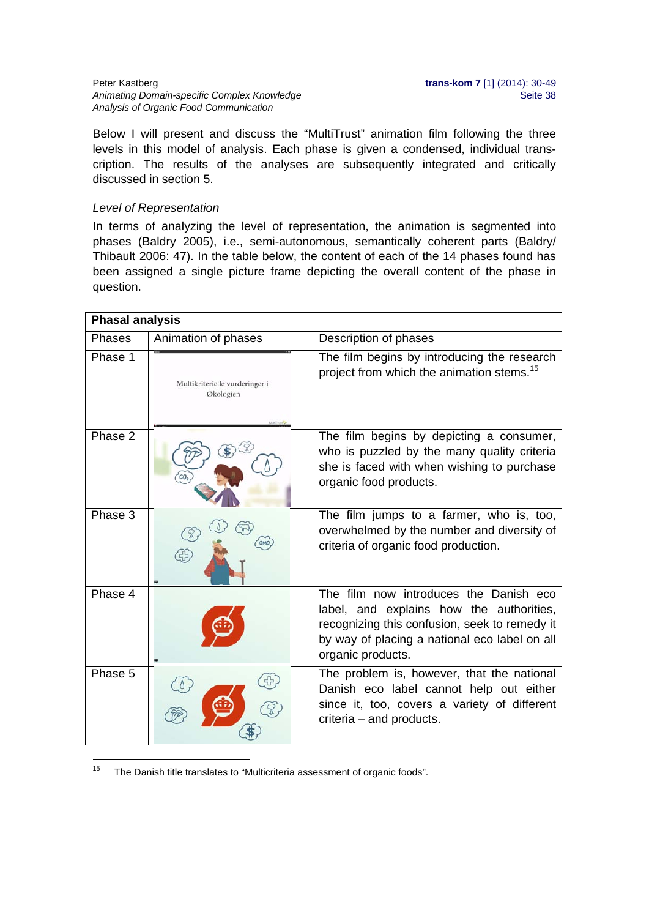#### **Peter Kastberg <b>trans-kom 7** [1] (2014): 30-49 Animating Domain-specific Complex Knowledge **Seite 38** Seite 38 *Analysis of Organic Food Communication*

Below I will present and discuss the "MultiTrust" animation film following the three levels in this model of analysis. Each phase is given a condensed, individual transcription. The results of the analyses are subsequently integrated and critically discussed in section 5.

#### *Level of Representation*

In terms of analyzing the level of representation, the animation is segmented into phases (Baldry 2005), i.e., semi-autonomous, semantically coherent parts (Baldry/ Thibault 2006: 47). In the table below, the content of each of the 14 phases found has been assigned a single picture frame depicting the overall content of the phase in question.

| <b>Phasal analysis</b> |                                             |                                                                                                                                                                                                           |  |  |
|------------------------|---------------------------------------------|-----------------------------------------------------------------------------------------------------------------------------------------------------------------------------------------------------------|--|--|
| <b>Phases</b>          | Animation of phases                         | Description of phases                                                                                                                                                                                     |  |  |
| Phase 1                | Multikriterielle vurderinger i<br>Økologien | The film begins by introducing the research<br>project from which the animation stems. <sup>15</sup>                                                                                                      |  |  |
| Phase 2                |                                             | The film begins by depicting a consumer,<br>who is puzzled by the many quality criteria<br>she is faced with when wishing to purchase<br>organic food products.                                           |  |  |
| Phase 3                |                                             | The film jumps to a farmer, who is, too,<br>overwhelmed by the number and diversity of<br>criteria of organic food production.                                                                            |  |  |
| Phase 4                |                                             | The film now introduces the Danish eco<br>label, and explains how the authorities,<br>recognizing this confusion, seek to remedy it<br>by way of placing a national eco label on all<br>organic products. |  |  |
| Phase 5                |                                             | The problem is, however, that the national<br>Danish eco label cannot help out either<br>since it, too, covers a variety of different<br>criteria - and products.                                         |  |  |

 $15\,$ The Danish title translates to "Multicriteria assessment of organic foods".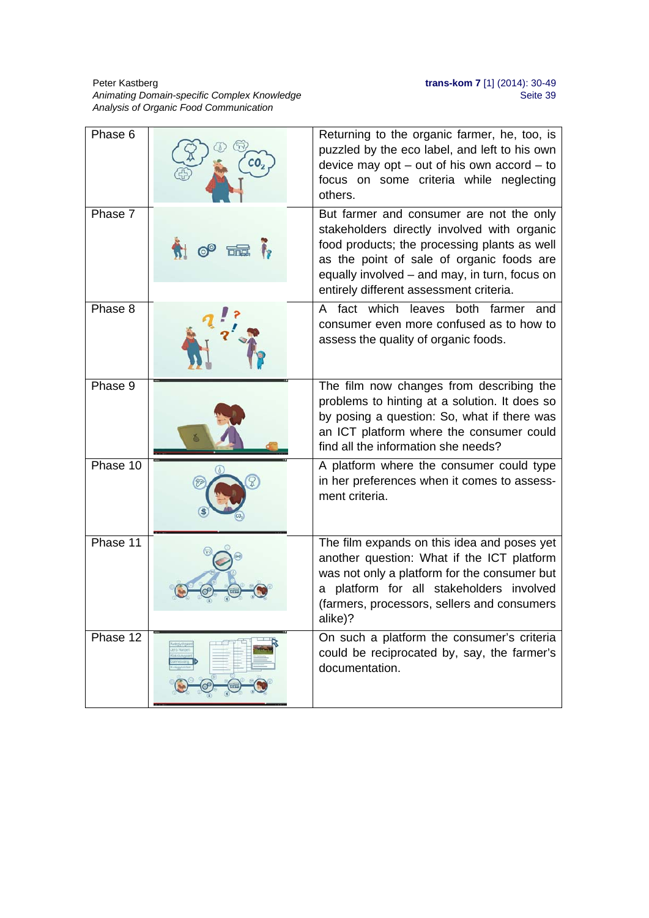#### **Peter Kastberg <b>trans-kom 7** [1] (2014): 30-49 Animating Domain-specific Complex Knowledge **Sexual Animation of the Sexual Animation** Seite 39 *Analysis of Organic Food Communication*

| Phase 6  |            | Returning to the organic farmer, he, too, is<br>puzzled by the eco label, and left to his own<br>device may opt $-$ out of his own accord $-$ to<br>focus on some criteria while neglecting<br>others.                                                                           |
|----------|------------|----------------------------------------------------------------------------------------------------------------------------------------------------------------------------------------------------------------------------------------------------------------------------------|
| Phase 7  | <b>The</b> | But farmer and consumer are not the only<br>stakeholders directly involved with organic<br>food products; the processing plants as well<br>as the point of sale of organic foods are<br>equally involved – and may, in turn, focus on<br>entirely different assessment criteria. |
| Phase 8  |            | A fact which leaves both farmer<br>and<br>consumer even more confused as to how to<br>assess the quality of organic foods.                                                                                                                                                       |
| Phase 9  |            | The film now changes from describing the<br>problems to hinting at a solution. It does so<br>by posing a question: So, what if there was<br>an ICT platform where the consumer could<br>find all the information she needs?                                                      |
| Phase 10 |            | A platform where the consumer could type<br>in her preferences when it comes to assess-<br>ment criteria.                                                                                                                                                                        |
| Phase 11 |            | The film expands on this idea and poses yet<br>another question: What if the ICT platform<br>was not only a platform for the consumer but<br>a platform for all stakeholders involved<br>(farmers, processors, sellers and consumers<br>alike)?                                  |
| Phase 12 |            | On such a platform the consumer's criteria<br>could be reciprocated by, say, the farmer's<br>documentation.                                                                                                                                                                      |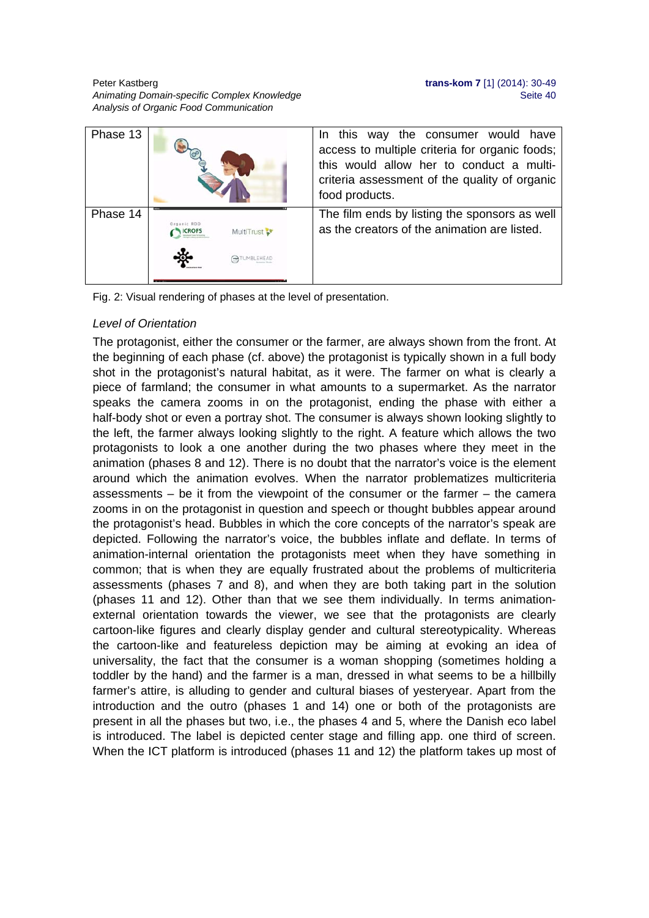Peter Kastberg **trans-kom 7** [1] (2014): 30-49 Animating Domain-specific Complex Knowledge **Seite 40** Seite 40 *Analysis of Organic Food Communication* 

| Phase 13 |              | In this way the consumer would have<br>access to multiple criteria for organic foods;<br>this would allow her to conduct a multi-<br>criteria assessment of the quality of organic<br>food products. |
|----------|--------------|------------------------------------------------------------------------------------------------------------------------------------------------------------------------------------------------------|
| Phase 14 | MultiTrust ? | The film ends by listing the sponsors as well<br>as the creators of the animation are listed.                                                                                                        |

Fig. 2: Visual rendering of phases at the level of presentation.

## *Level of Orientation*

The protagonist, either the consumer or the farmer, are always shown from the front. At the beginning of each phase (cf. above) the protagonist is typically shown in a full body shot in the protagonist's natural habitat, as it were. The farmer on what is clearly a piece of farmland; the consumer in what amounts to a supermarket. As the narrator speaks the camera zooms in on the protagonist, ending the phase with either a half-body shot or even a portray shot. The consumer is always shown looking slightly to the left, the farmer always looking slightly to the right. A feature which allows the two protagonists to look a one another during the two phases where they meet in the animation (phases 8 and 12). There is no doubt that the narrator's voice is the element around which the animation evolves. When the narrator problematizes multicriteria assessments – be it from the viewpoint of the consumer or the farmer – the camera zooms in on the protagonist in question and speech or thought bubbles appear around the protagonist's head. Bubbles in which the core concepts of the narrator's speak are depicted. Following the narrator's voice, the bubbles inflate and deflate. In terms of animation-internal orientation the protagonists meet when they have something in common; that is when they are equally frustrated about the problems of multicriteria assessments (phases 7 and 8), and when they are both taking part in the solution (phases 11 and 12). Other than that we see them individually. In terms animationexternal orientation towards the viewer, we see that the protagonists are clearly cartoon-like figures and clearly display gender and cultural stereotypicality. Whereas the cartoon-like and featureless depiction may be aiming at evoking an idea of universality, the fact that the consumer is a woman shopping (sometimes holding a toddler by the hand) and the farmer is a man, dressed in what seems to be a hillbilly farmer's attire, is alluding to gender and cultural biases of yesteryear. Apart from the introduction and the outro (phases 1 and 14) one or both of the protagonists are present in all the phases but two, i.e., the phases 4 and 5, where the Danish eco label is introduced. The label is depicted center stage and filling app. one third of screen. When the ICT platform is introduced (phases 11 and 12) the platform takes up most of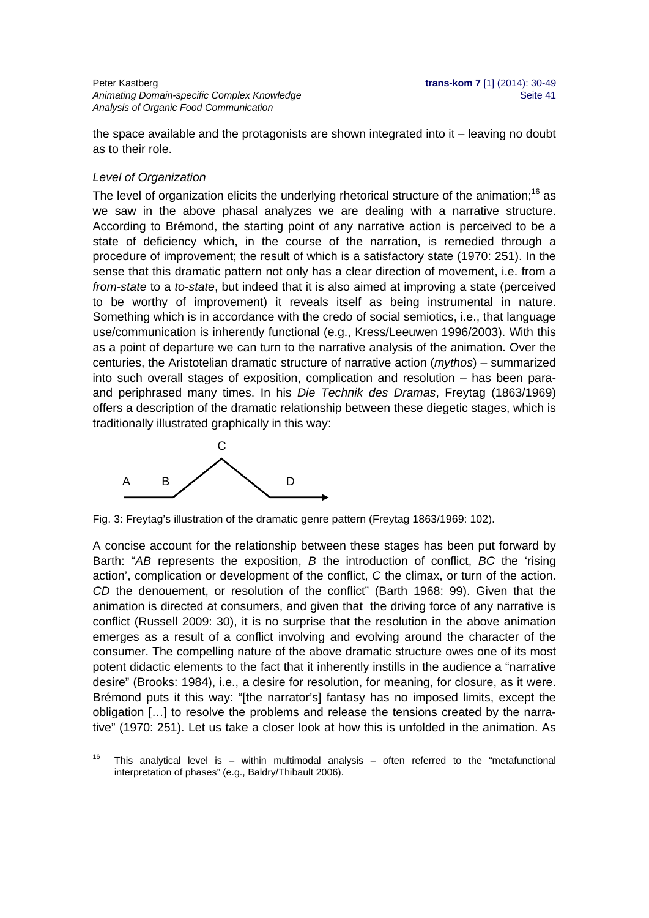Peter Kastberg **trans-kom 7** [1] (2014): 30-49 Animating Domain-specific Complex Knowledge **Seite 41** and the set of the Seite 41 *Analysis of Organic Food Communication* 

the space available and the protagonists are shown integrated into it – leaving no doubt as to their role.

#### *Level of Organization*

The level of organization elicits the underlying rhetorical structure of the animation;<sup>16</sup> as we saw in the above phasal analyzes we are dealing with a narrative structure. According to Brémond, the starting point of any narrative action is perceived to be a state of deficiency which, in the course of the narration, is remedied through a procedure of improvement; the result of which is a satisfactory state (1970: 251). In the sense that this dramatic pattern not only has a clear direction of movement, i.e. from a *from-state* to a *to-state*, but indeed that it is also aimed at improving a state (perceived to be worthy of improvement) it reveals itself as being instrumental in nature. Something which is in accordance with the credo of social semiotics, i.e., that language use/communication is inherently functional (e.g., Kress/Leeuwen 1996/2003). With this as a point of departure we can turn to the narrative analysis of the animation. Over the centuries, the Aristotelian dramatic structure of narrative action (*mythos*) – summarized into such overall stages of exposition, complication and resolution – has been paraand periphrased many times. In his *Die Technik des Dramas*, Freytag (1863/1969) offers a description of the dramatic relationship between these diegetic stages, which is traditionally illustrated graphically in this way:



Fig. 3: Freytag's illustration of the dramatic genre pattern (Freytag 1863/1969: 102).

A concise account for the relationship between these stages has been put forward by Barth: "*AB* represents the exposition, *B* the introduction of conflict, *BC* the 'rising action', complication or development of the conflict, *C* the climax, or turn of the action. *CD* the denouement, or resolution of the conflict" (Barth 1968: 99). Given that the animation is directed at consumers, and given that the driving force of any narrative is conflict (Russell 2009: 30), it is no surprise that the resolution in the above animation emerges as a result of a conflict involving and evolving around the character of the consumer. The compelling nature of the above dramatic structure owes one of its most potent didactic elements to the fact that it inherently instills in the audience a "narrative desire" (Brooks: 1984), i.e., a desire for resolution, for meaning, for closure, as it were. Brémond puts it this way: "[the narrator's] fantasy has no imposed limits, except the obligation […] to resolve the problems and release the tensions created by the narrative" (1970: 251). Let us take a closer look at how this is unfolded in the animation. As

 $16$ This analytical level is  $-$  within multimodal analysis  $-$  often referred to the "metafunctional interpretation of phases" (e.g., Baldry/Thibault 2006).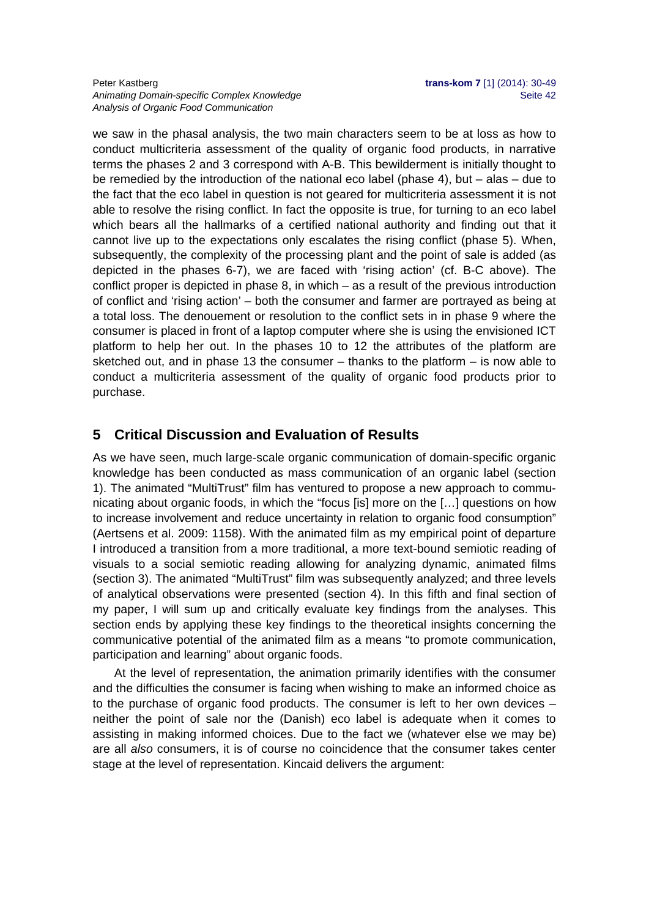#### Peter Kastberg **trans-kom 7** [1] (2014): 30-49 Animating Domain-specific Complex Knowledge **Seite 42** Seite 42 *Analysis of Organic Food Communication*

we saw in the phasal analysis, the two main characters seem to be at loss as how to conduct multicriteria assessment of the quality of organic food products, in narrative terms the phases 2 and 3 correspond with A-B. This bewilderment is initially thought to be remedied by the introduction of the national eco label (phase 4), but – alas – due to the fact that the eco label in question is not geared for multicriteria assessment it is not able to resolve the rising conflict. In fact the opposite is true, for turning to an eco label which bears all the hallmarks of a certified national authority and finding out that it cannot live up to the expectations only escalates the rising conflict (phase 5). When, subsequently, the complexity of the processing plant and the point of sale is added (as depicted in the phases 6-7), we are faced with 'rising action' (cf. B-C above). The conflict proper is depicted in phase 8, in which – as a result of the previous introduction of conflict and 'rising action' – both the consumer and farmer are portrayed as being at a total loss. The denouement or resolution to the conflict sets in in phase 9 where the consumer is placed in front of a laptop computer where she is using the envisioned ICT platform to help her out. In the phases 10 to 12 the attributes of the platform are sketched out, and in phase 13 the consumer  $-$  thanks to the platform  $-$  is now able to conduct a multicriteria assessment of the quality of organic food products prior to purchase.

## **5 Critical Discussion and Evaluation of Results**

As we have seen, much large-scale organic communication of domain-specific organic knowledge has been conducted as mass communication of an organic label (section 1). The animated "MultiTrust" film has ventured to propose a new approach to communicating about organic foods, in which the "focus [is] more on the […] questions on how to increase involvement and reduce uncertainty in relation to organic food consumption" (Aertsens et al. 2009: 1158). With the animated film as my empirical point of departure I introduced a transition from a more traditional, a more text-bound semiotic reading of visuals to a social semiotic reading allowing for analyzing dynamic, animated films (section 3). The animated "MultiTrust" film was subsequently analyzed; and three levels of analytical observations were presented (section 4). In this fifth and final section of my paper, I will sum up and critically evaluate key findings from the analyses. This section ends by applying these key findings to the theoretical insights concerning the communicative potential of the animated film as a means "to promote communication, participation and learning" about organic foods.

At the level of representation, the animation primarily identifies with the consumer and the difficulties the consumer is facing when wishing to make an informed choice as to the purchase of organic food products. The consumer is left to her own devices – neither the point of sale nor the (Danish) eco label is adequate when it comes to assisting in making informed choices. Due to the fact we (whatever else we may be) are all *also* consumers, it is of course no coincidence that the consumer takes center stage at the level of representation. Kincaid delivers the argument: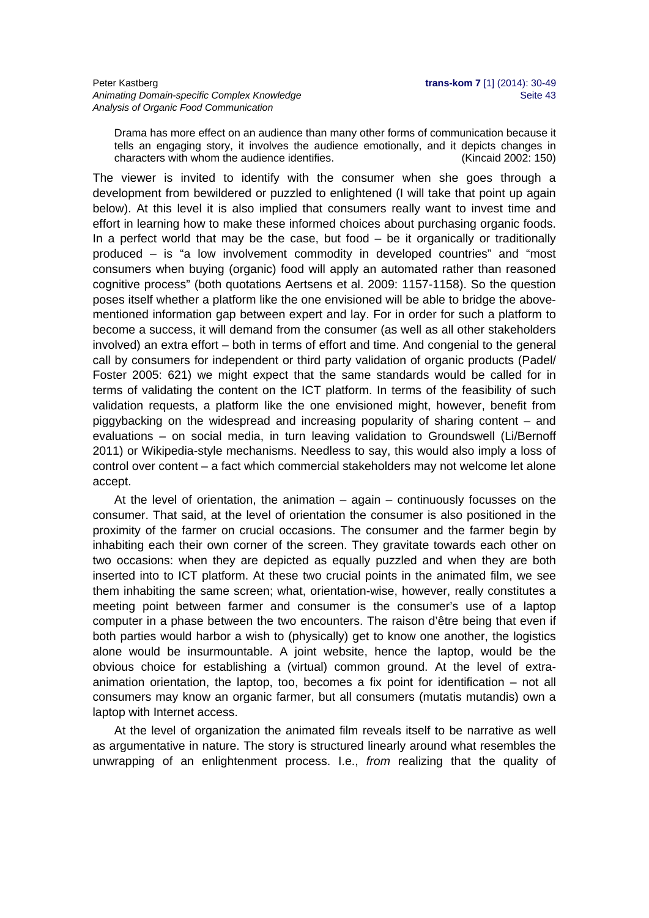Drama has more effect on an audience than many other forms of communication because it tells an engaging story, it involves the audience emotionally, and it depicts changes in characters with whom the audience identifies. (Kincaid 2002: 150)

The viewer is invited to identify with the consumer when she goes through a development from bewildered or puzzled to enlightened (I will take that point up again below). At this level it is also implied that consumers really want to invest time and effort in learning how to make these informed choices about purchasing organic foods. In a perfect world that may be the case, but food – be it organically or traditionally produced – is "a low involvement commodity in developed countries" and "most consumers when buying (organic) food will apply an automated rather than reasoned cognitive process" (both quotations Aertsens et al. 2009: 1157-1158). So the question poses itself whether a platform like the one envisioned will be able to bridge the abovementioned information gap between expert and lay. For in order for such a platform to become a success, it will demand from the consumer (as well as all other stakeholders involved) an extra effort – both in terms of effort and time. And congenial to the general call by consumers for independent or third party validation of organic products (Padel/ Foster 2005: 621) we might expect that the same standards would be called for in terms of validating the content on the ICT platform. In terms of the feasibility of such validation requests, a platform like the one envisioned might, however, benefit from piggybacking on the widespread and increasing popularity of sharing content – and evaluations – on social media, in turn leaving validation to Groundswell (Li/Bernoff 2011) or Wikipedia-style mechanisms. Needless to say, this would also imply a loss of control over content – a fact which commercial stakeholders may not welcome let alone accept.

At the level of orientation, the animation  $-$  again  $-$  continuously focusses on the consumer. That said, at the level of orientation the consumer is also positioned in the proximity of the farmer on crucial occasions. The consumer and the farmer begin by inhabiting each their own corner of the screen. They gravitate towards each other on two occasions: when they are depicted as equally puzzled and when they are both inserted into to ICT platform. At these two crucial points in the animated film, we see them inhabiting the same screen; what, orientation-wise, however, really constitutes a meeting point between farmer and consumer is the consumer's use of a laptop computer in a phase between the two encounters. The raison d'être being that even if both parties would harbor a wish to (physically) get to know one another, the logistics alone would be insurmountable. A joint website, hence the laptop, would be the obvious choice for establishing a (virtual) common ground. At the level of extraanimation orientation, the laptop, too, becomes a fix point for identification – not all consumers may know an organic farmer, but all consumers (mutatis mutandis) own a laptop with Internet access.

At the level of organization the animated film reveals itself to be narrative as well as argumentative in nature. The story is structured linearly around what resembles the unwrapping of an enlightenment process. I.e., *from* realizing that the quality of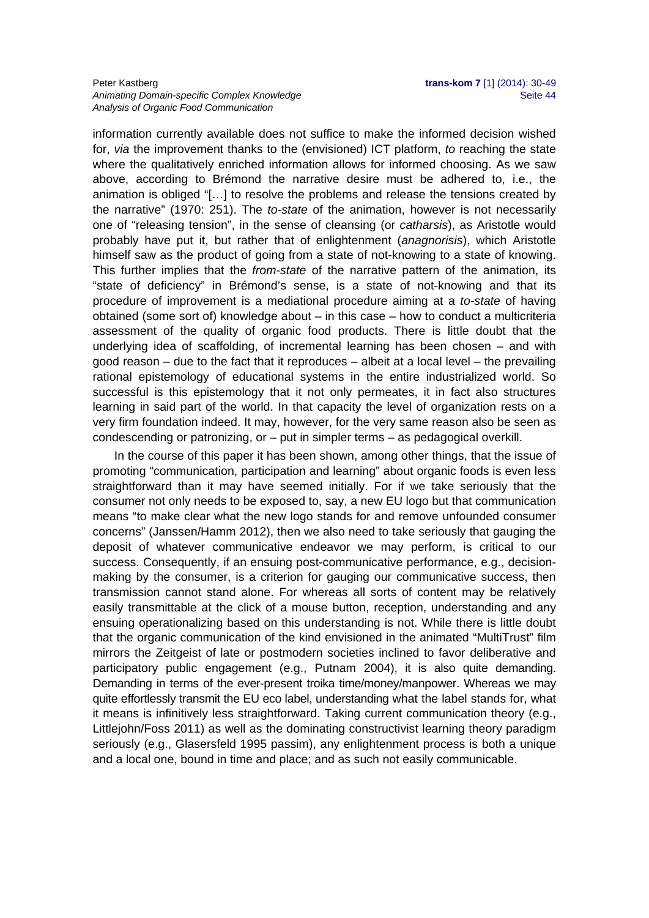#### Peter Kastberg **trans-kom 7** [1] (2014): 30-49 Animating Domain-specific Complex Knowledge **Seite 44** Seite 44 *Analysis of Organic Food Communication*

information currently available does not suffice to make the informed decision wished for, *via* the improvement thanks to the (envisioned) ICT platform, *to* reaching the state where the qualitatively enriched information allows for informed choosing. As we saw above, according to Brémond the narrative desire must be adhered to, i.e., the animation is obliged "[…] to resolve the problems and release the tensions created by the narrative" (1970: 251). The *to-state* of the animation, however is not necessarily one of "releasing tension", in the sense of cleansing (or *catharsis*), as Aristotle would probably have put it, but rather that of enlightenment (*anagnorisis*), which Aristotle himself saw as the product of going from a state of not-knowing to a state of knowing. This further implies that the *from-state* of the narrative pattern of the animation, its "state of deficiency" in Brémond's sense, is a state of not-knowing and that its procedure of improvement is a mediational procedure aiming at a *to-state* of having obtained (some sort of) knowledge about – in this case – how to conduct a multicriteria assessment of the quality of organic food products. There is little doubt that the underlying idea of scaffolding, of incremental learning has been chosen – and with good reason – due to the fact that it reproduces – albeit at a local level – the prevailing rational epistemology of educational systems in the entire industrialized world. So successful is this epistemology that it not only permeates, it in fact also structures learning in said part of the world. In that capacity the level of organization rests on a very firm foundation indeed. It may, however, for the very same reason also be seen as condescending or patronizing, or – put in simpler terms – as pedagogical overkill.

In the course of this paper it has been shown, among other things, that the issue of promoting "communication, participation and learning" about organic foods is even less straightforward than it may have seemed initially. For if we take seriously that the consumer not only needs to be exposed to, say, a new EU logo but that communication means "to make clear what the new logo stands for and remove unfounded consumer concerns" (Janssen/Hamm 2012), then we also need to take seriously that gauging the deposit of whatever communicative endeavor we may perform, is critical to our success. Consequently, if an ensuing post-communicative performance, e.g., decisionmaking by the consumer, is a criterion for gauging our communicative success, then transmission cannot stand alone. For whereas all sorts of content may be relatively easily transmittable at the click of a mouse button, reception, understanding and any ensuing operationalizing based on this understanding is not. While there is little doubt that the organic communication of the kind envisioned in the animated "MultiTrust" film mirrors the Zeitgeist of late or postmodern societies inclined to favor deliberative and participatory public engagement (e.g., Putnam 2004), it is also quite demanding. Demanding in terms of the ever-present troika time/money/manpower. Whereas we may quite effortlessly transmit the EU eco label, understanding what the label stands for, what it means is infinitively less straightforward. Taking current communication theory (e.g., Littlejohn/Foss 2011) as well as the dominating constructivist learning theory paradigm seriously (e.g., Glasersfeld 1995 passim), any enlightenment process is both a unique and a local one, bound in time and place; and as such not easily communicable.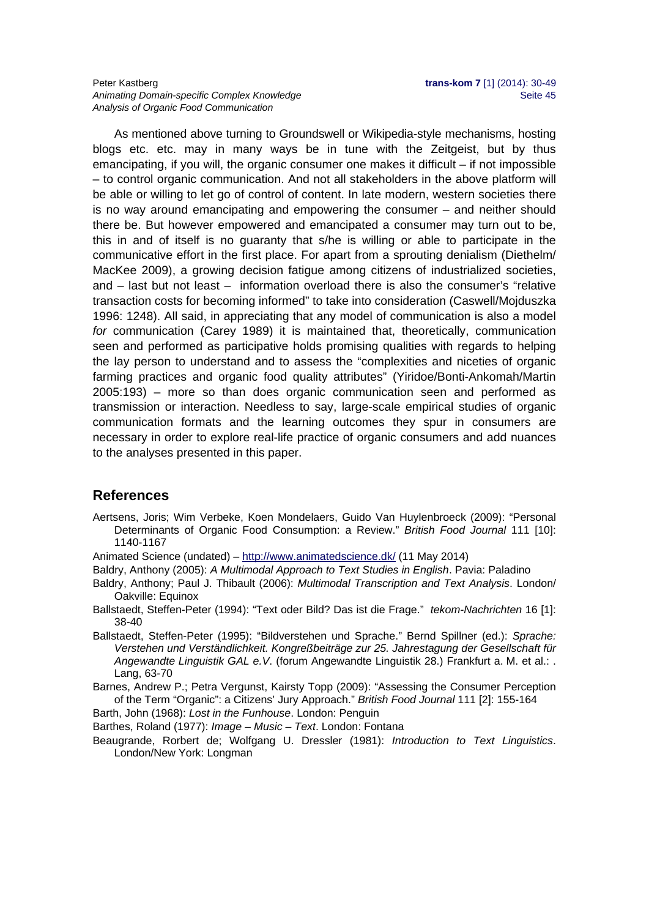#### Peter Kastberg **trans-kom 7** [1] (2014): 30-49 Animating Domain-specific Complex Knowledge **Seite 45** Seite 45 *Analysis of Organic Food Communication*

As mentioned above turning to Groundswell or Wikipedia-style mechanisms, hosting blogs etc. etc. may in many ways be in tune with the Zeitgeist, but by thus emancipating, if you will, the organic consumer one makes it difficult – if not impossible – to control organic communication. And not all stakeholders in the above platform will be able or willing to let go of control of content. In late modern, western societies there is no way around emancipating and empowering the consumer – and neither should there be. But however empowered and emancipated a consumer may turn out to be, this in and of itself is no guaranty that s/he is willing or able to participate in the communicative effort in the first place. For apart from a sprouting denialism (Diethelm/ MacKee 2009), a growing decision fatigue among citizens of industrialized societies, and – last but not least – information overload there is also the consumer's "relative transaction costs for becoming informed" to take into consideration (Caswell/Mojduszka 1996: 1248). All said, in appreciating that any model of communication is also a model *for* communication (Carey 1989) it is maintained that, theoretically, communication seen and performed as participative holds promising qualities with regards to helping the lay person to understand and to assess the "complexities and niceties of organic farming practices and organic food quality attributes" (Yiridoe/Bonti-Ankomah/Martin 2005:193) – more so than does organic communication seen and performed as transmission or interaction. Needless to say, large-scale empirical studies of organic communication formats and the learning outcomes they spur in consumers are necessary in order to explore real-life practice of organic consumers and add nuances to the analyses presented in this paper.

## **References**

- Aertsens, Joris; Wim Verbeke, Koen Mondelaers, Guido Van Huylenbroeck (2009): "Personal Determinants of Organic Food Consumption: a Review." *British Food Journal* 111 [10]: 1140-1167
- Animated Science (undated) http://www.animatedscience.dk/ (11 May 2014)
- Baldry, Anthony (2005): *A Multimodal Approach to Text Studies in English*. Pavia: Paladino
- Baldry, Anthony; Paul J. Thibault (2006): *Multimodal Transcription and Text Analysis*. London/ Oakville: Equinox
- Ballstaedt, Steffen-Peter (1994): "Text oder Bild? Das ist die Frage." *tekom-Nachrichten* 16 [1]: 38-40
- Ballstaedt, Steffen-Peter (1995): "Bildverstehen und Sprache." Bernd Spillner (ed.): *Sprache: Verstehen und Verständlichkeit. Kongreßbeiträge zur 25. Jahrestagung der Gesellschaft für Angewandte Linguistik GAL e.V*. (forum Angewandte Linguistik 28.) Frankfurt a. M. et al.: . Lang, 63-70

Barnes, Andrew P.; Petra Vergunst, Kairsty Topp (2009): "Assessing the Consumer Perception of the Term "Organic": a Citizens' Jury Approach." *British Food Journal* 111 [2]: 155-164

Barth, John (1968): *Lost in the Funhouse*. London: Penguin

Barthes, Roland (1977): *Image – Music – Text*. London: Fontana

Beaugrande, Rorbert de; Wolfgang U. Dressler (1981): *Introduction to Text Linguistics*. London/New York: Longman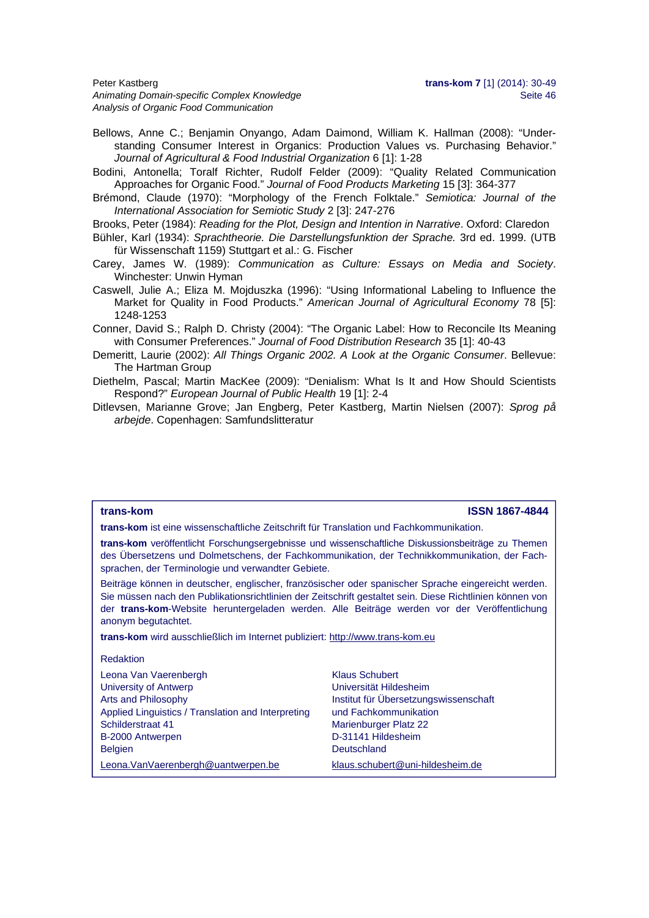Peter Kastberg **trans-kom 7** [1] (2014): 30-49 Animating Domain-specific Complex Knowledge **Seite 46** Seite 46 *Analysis of Organic Food Communication* 

- Bellows, Anne C.; Benjamin Onyango, Adam Daimond, William K. Hallman (2008): "Understanding Consumer Interest in Organics: Production Values vs. Purchasing Behavior." *Journal of Agricultural & Food Industrial Organization* 6 [1]: 1-28
- Bodini, Antonella; Toralf Richter, Rudolf Felder (2009): "Quality Related Communication Approaches for Organic Food." *Journal of Food Products Marketing* 15 [3]: 364-377
- Brémond, Claude (1970): "Morphology of the French Folktale." *Semiotica: Journal of the International Association for Semiotic Study* 2 [3]: 247-276
- Brooks, Peter (1984): *Reading for the Plot, Design and Intention in Narrative*. Oxford: Claredon
- Bühler, Karl (1934): *Sprachtheorie. Die Darstellungsfunktion der Sprache.* 3rd ed. 1999. (UTB für Wissenschaft 1159) Stuttgart et al.: G. Fischer
- Carey, James W. (1989): *Communication as Culture: Essays on Media and Society*. Winchester: Unwin Hyman
- Caswell, Julie A.; Eliza M. Mojduszka (1996): "Using Informational Labeling to Influence the Market for Quality in Food Products." *American Journal of Agricultural Economy* 78 [5]: 1248-1253
- Conner, David S.; Ralph D. Christy (2004): "The Organic Label: How to Reconcile Its Meaning with Consumer Preferences." *Journal of Food Distribution Research* 35 [1]: 40-43
- Demeritt, Laurie (2002): *All Things Organic 2002. A Look at the Organic Consumer*. Bellevue: The Hartman Group
- Diethelm, Pascal; Martin MacKee (2009): "Denialism: What Is It and How Should Scientists Respond?" *European Journal of Public Health* 19 [1]: 2-4
- Ditlevsen, Marianne Grove; Jan Engberg, Peter Kastberg, Martin Nielsen (2007): *Sprog på arbejde*. Copenhagen: Samfundslitteratur

#### **trans-kom ISSN 1867-4844**

**trans-kom** ist eine wissenschaftliche Zeitschrift für Translation und Fachkommunikation.

**trans-kom** veröffentlicht Forschungsergebnisse und wissenschaftliche Diskussionsbeiträge zu Themen des Übersetzens und Dolmetschens, der Fachkommunikation, der Technikkommunikation, der Fachsprachen, der Terminologie und verwandter Gebiete.

Beiträge können in deutscher, englischer, französischer oder spanischer Sprache eingereicht werden. Sie müssen nach den Publikationsrichtlinien der Zeitschrift gestaltet sein. Diese Richtlinien können von der **trans-kom**-Website heruntergeladen werden. Alle Beiträge werden vor der Veröffentlichung anonym begutachtet.

**trans-kom** wird ausschließlich im Internet publiziert: http://www.trans-kom.eu

#### Redaktion

| Leona Van Vaerenbergh<br>University of Antwerp<br>Arts and Philosophy<br>Applied Linguistics / Translation and Interpreting<br>Schilderstraat 41<br>B-2000 Antwerpen | <b>Klaus Schubert</b><br>Universität Hildesheim<br>Institut für Übersetzungswissenschaft<br>und Fachkommunikation<br>Marienburger Platz 22<br>D-31141 Hildesheim |
|----------------------------------------------------------------------------------------------------------------------------------------------------------------------|------------------------------------------------------------------------------------------------------------------------------------------------------------------|
| <b>Belgien</b>                                                                                                                                                       | Deutschland                                                                                                                                                      |
| Leona. Van Vaerenbergh@uantwerpen.be                                                                                                                                 | klaus.schubert@uni-hildesheim.de                                                                                                                                 |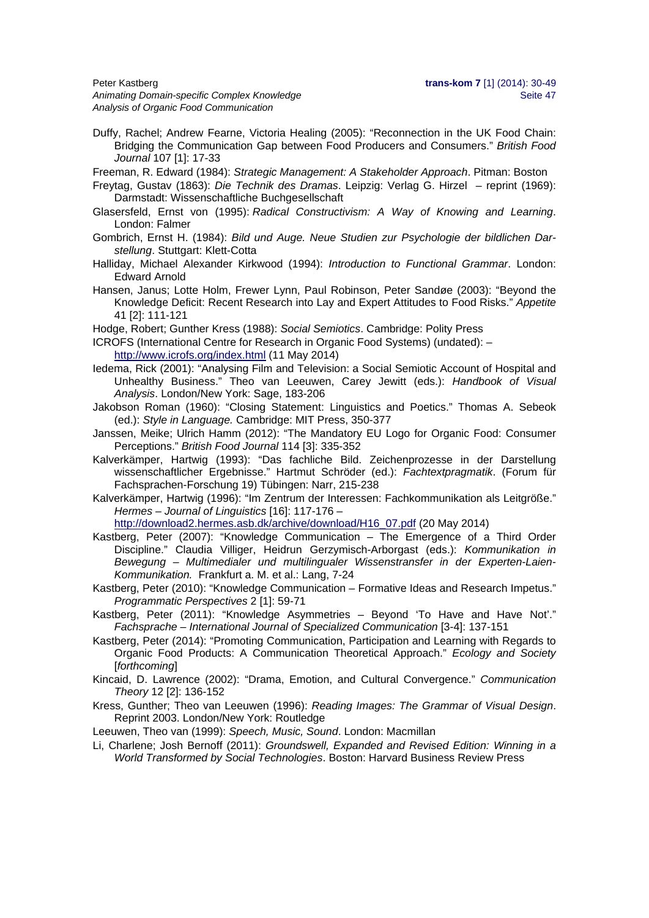Animating Domain-specific Complex Knowledge **Sexual Animation** Seite 47 *Analysis of Organic Food Communication* 

Duffy, Rachel; Andrew Fearne, Victoria Healing (2005): "Reconnection in the UK Food Chain: Bridging the Communication Gap between Food Producers and Consumers." *British Food Journal* 107 [1]: 17-33

Freeman, R. Edward (1984): *Strategic Management: A Stakeholder Approach*. Pitman: Boston

- Freytag, Gustav (1863): *Die Technik des Dramas*. Leipzig: Verlag G. Hirzel reprint (1969): Darmstadt: Wissenschaftliche Buchgesellschaft
- Glasersfeld, Ernst von (1995): *Radical Constructivism: A Way of Knowing and Learning*. London: Falmer
- Gombrich, Ernst H. (1984): *Bild und Auge. Neue Studien zur Psychologie der bildlichen Darstellung*. Stuttgart: Klett-Cotta
- Halliday, Michael Alexander Kirkwood (1994): *Introduction to Functional Grammar*. London: Edward Arnold
- Hansen, Janus; Lotte Holm, Frewer Lynn, Paul Robinson, Peter Sandøe (2003): "Beyond the Knowledge Deficit: Recent Research into Lay and Expert Attitudes to Food Risks." *Appetite* 41 [2]: 111-121
- Hodge, Robert; Gunther Kress (1988): *Social Semiotics*. Cambridge: Polity Press
- ICROFS (International Centre for Research in Organic Food Systems) (undated): http://www.icrofs.org/index.html (11 May 2014)
- Iedema, Rick (2001): "Analysing Film and Television: a Social Semiotic Account of Hospital and Unhealthy Business." Theo van Leeuwen, Carey Jewitt (eds.): *Handbook of Visual Analysis*. London/New York: Sage, 183-206
- Jakobson Roman (1960): "Closing Statement: Linguistics and Poetics." Thomas A. Sebeok (ed.): *Style in Language.* Cambridge: MIT Press, 350-377
- Janssen, Meike; Ulrich Hamm (2012): "The Mandatory EU Logo for Organic Food: Consumer Perceptions." *British Food Journal* 114 [3]: 335-352
- Kalverkämper, Hartwig (1993): "Das fachliche Bild. Zeichenprozesse in der Darstellung wissenschaftlicher Ergebnisse." Hartmut Schröder (ed.): *Fachtextpragmatik*. (Forum für Fachsprachen-Forschung 19) Tübingen: Narr, 215-238
- Kalverkämper, Hartwig (1996): "Im Zentrum der Interessen: Fachkommunikation als Leitgröße." *Hermes – Journal of Linguistics* [16]: 117-176 –

http://download2.hermes.asb.dk/archive/download/H16\_07.pdf (20 May 2014)

- Kastberg, Peter (2007): "Knowledge Communication The Emergence of a Third Order Discipline." Claudia Villiger, Heidrun Gerzymisch-Arborgast (eds.): *Kommunikation in Bewegung – Multimedialer und multilingualer Wissenstransfer in der Experten-Laien-Kommunikation.* Frankfurt a. M. et al.: Lang, 7-24
- Kastberg, Peter (2010): "Knowledge Communication Formative Ideas and Research Impetus." *Programmatic Perspectives* 2 [1]: 59-71
- Kastberg, Peter (2011): "Knowledge Asymmetries Beyond 'To Have and Have Not'." *Fachsprache – International Journal of Specialized Communication* [3-4]: 137-151
- Kastberg, Peter (2014): "Promoting Communication, Participation and Learning with Regards to Organic Food Products: A Communication Theoretical Approach." *Ecology and Society* [*forthcoming*]
- Kincaid, D. Lawrence (2002): "Drama, Emotion, and Cultural Convergence." *Communication Theory* 12 [2]: 136-152
- Kress, Gunther; Theo van Leeuwen (1996): *Reading Images: The Grammar of Visual Design*. Reprint 2003. London/New York: Routledge
- Leeuwen, Theo van (1999): *Speech, Music, Sound*. London: Macmillan
- Li, Charlene; Josh Bernoff (2011): *Groundswell, Expanded and Revised Edition: Winning in a World Transformed by Social Technologies*. Boston: Harvard Business Review Press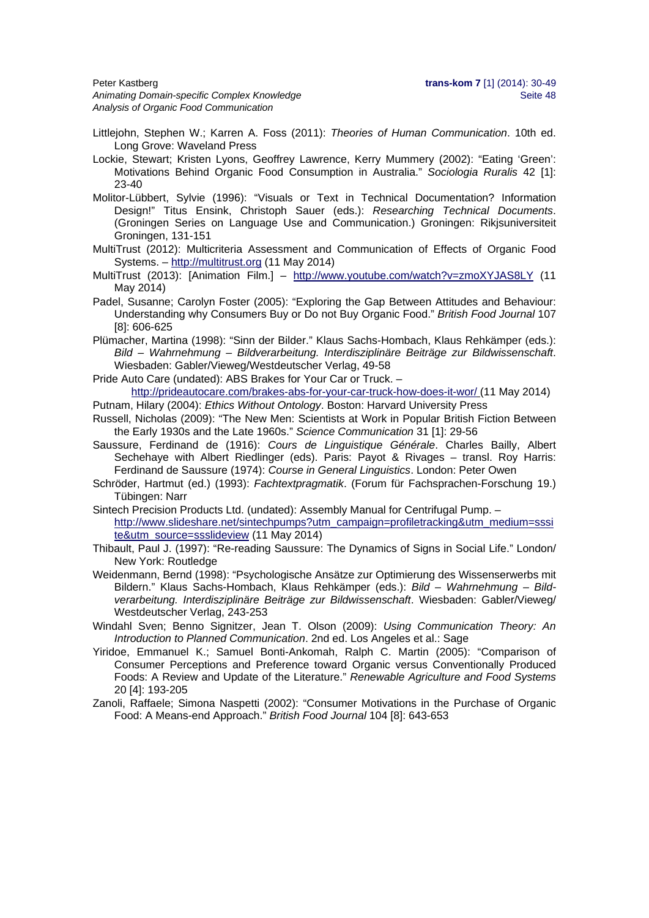Peter Kastberg **trans-kom 7** [1] (2014): 30-49 Animating Domain-specific Complex Knowledge **Seite 48** Seite 48 *Analysis of Organic Food Communication* 

- Littlejohn, Stephen W.; Karren A. Foss (2011): *Theories of Human Communication*. 10th ed. Long Grove: Waveland Press
- Lockie, Stewart; Kristen Lyons, Geoffrey Lawrence, Kerry Mummery (2002): "Eating 'Green': Motivations Behind Organic Food Consumption in Australia." *Sociologia Ruralis* 42 [1]: 23-40
- Molitor-Lübbert, Sylvie (1996): "Visuals or Text in Technical Documentation? Information Design!" Titus Ensink, Christoph Sauer (eds.): *Researching Technical Documents*. (Groningen Series on Language Use and Communication.) Groningen: Rikjsuniversiteit Groningen, 131-151
- MultiTrust (2012): Multicriteria Assessment and Communication of Effects of Organic Food Systems. – http://multitrust.org (11 May 2014)
- MultiTrust (2013): [Animation Film.] http://www.youtube.com/watch?v=zmoXYJAS8LY (11 May 2014)
- Padel, Susanne; Carolyn Foster (2005): "Exploring the Gap Between Attitudes and Behaviour: Understanding why Consumers Buy or Do not Buy Organic Food." *British Food Journal* 107 [8]: 606-625
- Plümacher, Martina (1998): "Sinn der Bilder." Klaus Sachs-Hombach, Klaus Rehkämper (eds.): *Bild – Wahrnehmung – Bildverarbeitung. Interdisziplinäre Beiträge zur Bildwissenschaft*. Wiesbaden: Gabler/Vieweg/Westdeutscher Verlag, 49-58

Pride Auto Care (undated): ABS Brakes for Your Car or Truck. –

http://prideautocare.com/brakes-abs-for-your-car-truck-how-does-it-wor/ (11 May 2014) Putnam, Hilary (2004): *Ethics Without Ontology*. Boston: Harvard University Press

- Russell, Nicholas (2009): "The New Men: Scientists at Work in Popular British Fiction Between the Early 1930s and the Late 1960s." *Science Communication* 31 [1]: 29-56
- Saussure, Ferdinand de (1916): *Cours de Linguistique Générale*. Charles Bailly, Albert Sechehaye with Albert Riedlinger (eds). Paris: Payot & Rivages – transl. Roy Harris: Ferdinand de Saussure (1974): *Course in General Linguistics*. London: Peter Owen
- Schröder, Hartmut (ed.) (1993): *Fachtextpragmatik*. (Forum für Fachsprachen-Forschung 19.) Tübingen: Narr
- Sintech Precision Products Ltd. (undated): Assembly Manual for Centrifugal Pump. http://www.slideshare.net/sintechpumps?utm\_campaign=profiletracking&utm\_medium=sssi te&utm\_source=ssslideview (11 May 2014)
- Thibault, Paul J. (1997): "Re-reading Saussure: The Dynamics of Signs in Social Life." London/ New York: Routledge
- Weidenmann, Bernd (1998): "Psychologische Ansätze zur Optimierung des Wissenserwerbs mit Bildern." Klaus Sachs-Hombach, Klaus Rehkämper (eds.): *Bild – Wahrnehmung – Bildverarbeitung. Interdisziplinäre Beiträge zur Bildwissenschaft*. Wiesbaden: Gabler/Vieweg/ Westdeutscher Verlag, 243-253
- Windahl Sven; Benno Signitzer, Jean T. Olson (2009): *Using Communication Theory: An Introduction to Planned Communication*. 2nd ed. Los Angeles et al.: Sage
- Yiridoe, Emmanuel K.; Samuel Bonti-Ankomah, Ralph C. Martin (2005): "Comparison of Consumer Perceptions and Preference toward Organic versus Conventionally Produced Foods: A Review and Update of the Literature." *Renewable Agriculture and Food Systems* 20 [4]: 193-205
- Zanoli, Raffaele; Simona Naspetti (2002): "Consumer Motivations in the Purchase of Organic Food: A Means-end Approach." *British Food Journal* 104 [8]: 643-653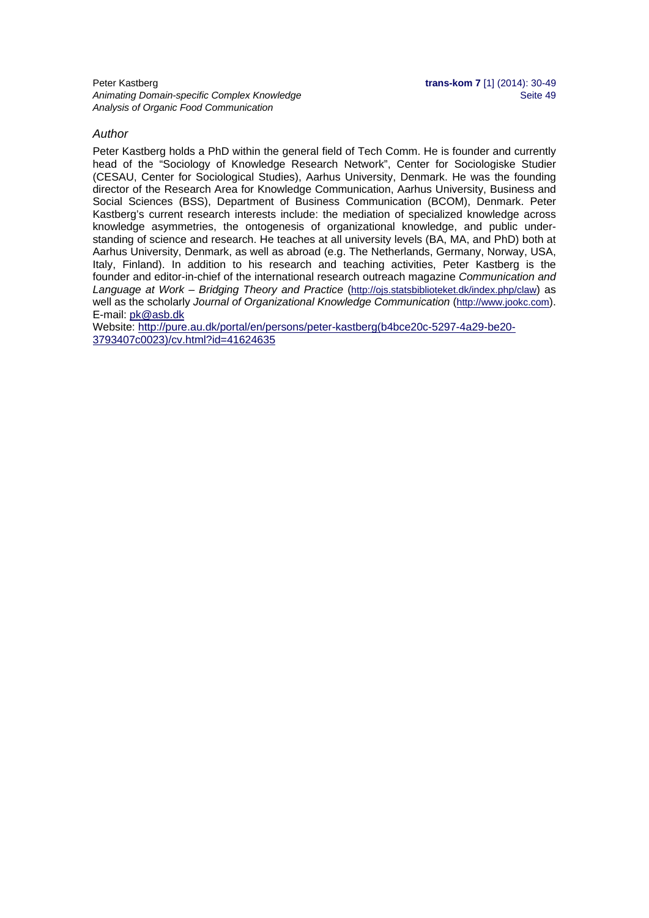#### *Author*

Peter Kastberg holds a PhD within the general field of Tech Comm. He is founder and currently head of the "Sociology of Knowledge Research Network", Center for Sociologiske Studier (CESAU, Center for Sociological Studies), Aarhus University, Denmark. He was the founding director of the Research Area for Knowledge Communication, Aarhus University, Business and Social Sciences (BSS), Department of Business Communication (BCOM), Denmark. Peter Kastberg's current research interests include: the mediation of specialized knowledge across knowledge asymmetries, the ontogenesis of organizational knowledge, and public understanding of science and research. He teaches at all university levels (BA, MA, and PhD) both at Aarhus University, Denmark, as well as abroad (e.g. The Netherlands, Germany, Norway, USA, Italy, Finland). In addition to his research and teaching activities, Peter Kastberg is the founder and editor-in-chief of the international research outreach magazine *Communication and Language at Work – Bridging Theory and Practice* (http://ojs.statsbiblioteket.dk/index.php/claw) as well as the scholarly *Journal of Organizational Knowledge Communication* (http://www.jookc.com). E-mail: pk@asb.dk

Website: http://pure.au.dk/portal/en/persons/peter-kastberg(b4bce20c-5297-4a29-be20- 3793407c0023)/cv.html?id=41624635